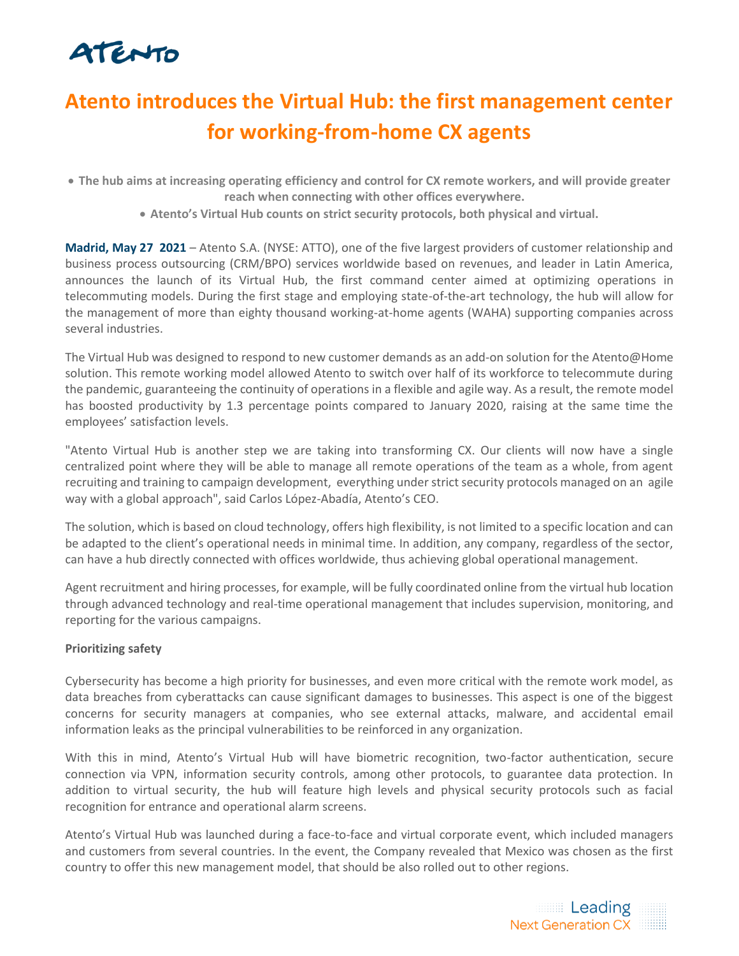# ATENTO

## **Atento introduces the Virtual Hub: the first management center for working-from-home CX agents**

- **The hub aims at increasing operating efficiency and control for CX remote workers, and will provide greater reach when connecting with other offices everywhere.**
	- **Atento's Virtual Hub counts on strict security protocols, both physical and virtual.**

**Madrid, May 27 2021** – Atento S.A. (NYSE: ATTO), one of the five largest providers of customer relationship and business process outsourcing (CRM/BPO) services worldwide based on revenues, and leader in Latin America, announces the launch of its Virtual Hub, the first command center aimed at optimizing operations in telecommuting models. During the first stage and employing state-of-the-art technology, the hub will allow for the management of more than eighty thousand working-at-home agents (WAHA) supporting companies across several industries.

The Virtual Hub was designed to respond to new customer demands as an add-on solution for the Atento@Home solution. This remote working model allowed Atento to switch over half of its workforce to telecommute during the pandemic, guaranteeing the continuity of operations in a flexible and agile way. As a result, the remote model has boosted productivity by 1.3 percentage points compared to January 2020, raising at the same time the employees' satisfaction levels.

"Atento Virtual Hub is another step we are taking into transforming CX. Our clients will now have a single centralized point where they will be able to manage all remote operations of the team as a whole, from agent recruiting and training to campaign development, everything under strict security protocols managed on an agile way with a global approach", said Carlos López-Abadía, Atento's CEO.

The solution, which is based on cloud technology, offers high flexibility, is not limited to a specific location and can be adapted to the client's operational needs in minimal time. In addition, any company, regardless of the sector, can have a hub directly connected with offices worldwide, thus achieving global operational management.

Agent recruitment and hiring processes, for example, will be fully coordinated online from the virtual hub location through advanced technology and real-time operational management that includes supervision, monitoring, and reporting for the various campaigns.

## **Prioritizing safety**

Cybersecurity has become a high priority for businesses, and even more critical with the remote work model, as data breaches from cyberattacks can cause significant damages to businesses. This aspect is one of the biggest concerns for security managers at companies, who see external attacks, malware, and accidental email information leaks as the principal vulnerabilities to be reinforced in any organization.

With this in mind, Atento's Virtual Hub will have biometric recognition, two-factor authentication, secure connection via VPN, information security controls, among other protocols, to guarantee data protection. In addition to virtual security, the hub will feature high levels and physical security protocols such as facial recognition for entrance and operational alarm screens.

Atento's Virtual Hub was launched during a face-to-face and virtual corporate event, which included managers and customers from several countries. In the event, the Company revealed that Mexico was chosen as the first country to offer this new management model, that should be also rolled out to other regions.